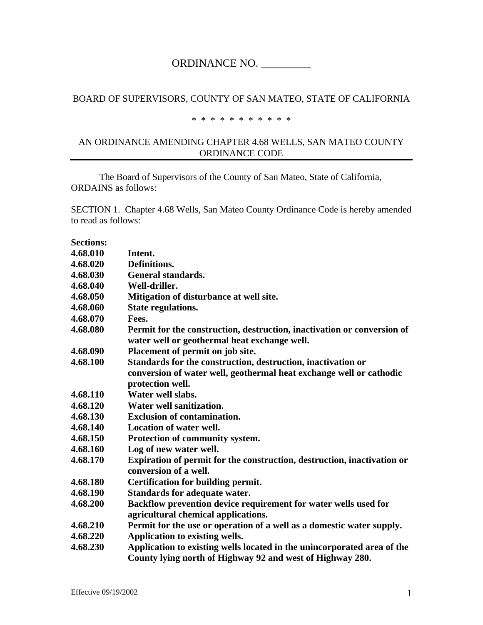# ORDINANCE NO.

#### BOARD OF SUPERVISORS, COUNTY OF SAN MATEO, STATE OF CALIFORNIA

#### \* \* \* \* \* \* \* \* \* \* \*

#### AN ORDINANCE AMENDING CHAPTER 4.68 WELLS, SAN MATEO COUNTY ORDINANCE CODE

The Board of Supervisors of the County of San Mateo, State of California, ORDAINS as follows:

SECTION 1. Chapter 4.68 Wells, San Mateo County Ordinance Code is hereby amended to read as follows:

| 4.68.010 | Intent.                                                                                                                              |
|----------|--------------------------------------------------------------------------------------------------------------------------------------|
| 4.68.020 | Definitions.                                                                                                                         |
| 4.68.030 | <b>General standards.</b>                                                                                                            |
| 4.68.040 | Well-driller.                                                                                                                        |
| 4.68.050 | Mitigation of disturbance at well site.                                                                                              |
| 4.68.060 | <b>State regulations.</b>                                                                                                            |
| 4.68.070 | Fees.                                                                                                                                |
| 4.68.080 | Permit for the construction, destruction, inactivation or conversion of<br>water well or geothermal heat exchange well.              |
| 4.68.090 | Placement of permit on job site.                                                                                                     |
| 4.68.100 | Standards for the construction, destruction, inactivation or                                                                         |
|          | conversion of water well, geothermal heat exchange well or cathodic<br>protection well.                                              |
| 4.68.110 | Water well slabs.                                                                                                                    |
| 4.68.120 | Water well sanitization.                                                                                                             |
| 4.68.130 | <b>Exclusion of contamination.</b>                                                                                                   |
| 4.68.140 | <b>Location of water well.</b>                                                                                                       |
| 4.68.150 | Protection of community system.                                                                                                      |
| 4.68.160 | Log of new water well.                                                                                                               |
| 4.68.170 | Expiration of permit for the construction, destruction, inactivation or<br>conversion of a well.                                     |
| 4.68.180 | <b>Certification for building permit.</b>                                                                                            |
| 4.68.190 | <b>Standards for adequate water.</b>                                                                                                 |
| 4.68.200 | Backflow prevention device requirement for water wells used for<br>agricultural chemical applications.                               |
| 4.68.210 | Permit for the use or operation of a well as a domestic water supply.                                                                |
| 4.68.220 | Application to existing wells.                                                                                                       |
| 4.68.230 | Application to existing wells located in the unincorporated area of the<br>County lying north of Highway 92 and west of Highway 280. |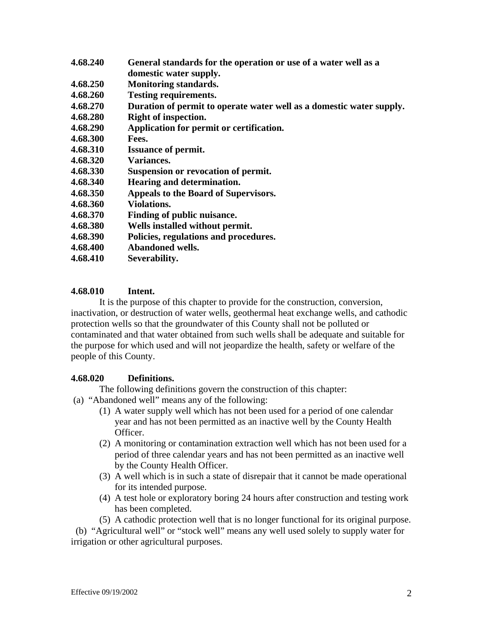| 4.68.240 | General standards for the operation or use of a water well as a      |
|----------|----------------------------------------------------------------------|
|          | domestic water supply.                                               |
| 4.68.250 | <b>Monitoring standards.</b>                                         |
| 4.68.260 | <b>Testing requirements.</b>                                         |
| 4.68.270 | Duration of permit to operate water well as a domestic water supply. |
| 4.68.280 | Right of inspection.                                                 |
| 4.68.290 | Application for permit or certification.                             |
| 4.68.300 | Fees.                                                                |
| 4.68.310 | <b>Issuance of permit.</b>                                           |
| 4.68.320 | Variances.                                                           |
| 4.68.330 | Suspension or revocation of permit.                                  |
| 4.68.340 | Hearing and determination.                                           |
| 4.68.350 | Appeals to the Board of Supervisors.                                 |
| 4.68.360 | <b>Violations.</b>                                                   |
| 4.68.370 | Finding of public nuisance.                                          |
| 4.68.380 | Wells installed without permit.                                      |
| 4.68.390 | Policies, regulations and procedures.                                |
| 4.68.400 | <b>Abandoned wells.</b>                                              |
| 4.68.410 | Severability.                                                        |
|          |                                                                      |

# **4.68.010 Intent.**

It is the purpose of this chapter to provide for the construction, conversion, inactivation, or destruction of water wells, geothermal heat exchange wells, and cathodic protection wells so that the groundwater of this County shall not be polluted or contaminated and that water obtained from such wells shall be adequate and suitable for the purpose for which used and will not jeopardize the health, safety or welfare of the people of this County.

### **4.68.020 Definitions.**

The following definitions govern the construction of this chapter:

- (a) "Abandoned well" means any of the following:
	- (1) A water supply well which has not been used for a period of one calendar year and has not been permitted as an inactive well by the County Health Officer.
	- (2) A monitoring or contamination extraction well which has not been used for a period of three calendar years and has not been permitted as an inactive well by the County Health Officer.
	- (3) A well which is in such a state of disrepair that it cannot be made operational for its intended purpose.
	- (4) A test hole or exploratory boring 24 hours after construction and testing work has been completed.
	- (5) A cathodic protection well that is no longer functional for its original purpose.

 (b) "Agricultural well" or "stock well" means any well used solely to supply water for irrigation or other agricultural purposes.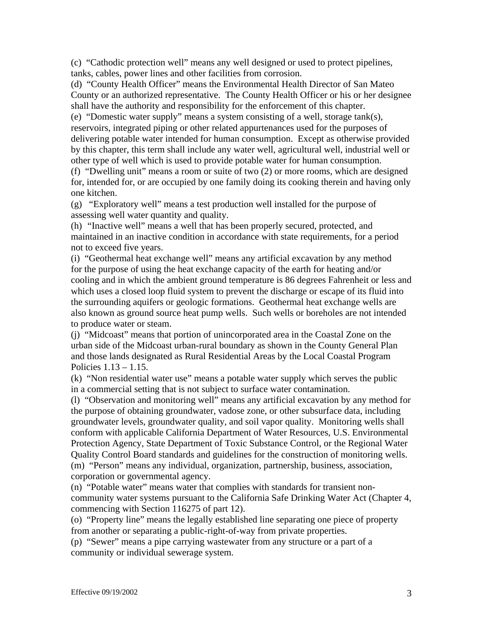(c) "Cathodic protection well" means any well designed or used to protect pipelines, tanks, cables, power lines and other facilities from corrosion.

(d) "County Health Officer" means the Environmental Health Director of San Mateo County or an authorized representative. The County Health Officer or his or her designee shall have the authority and responsibility for the enforcement of this chapter.

(e) "Domestic water supply" means a system consisting of a well, storage tank(s), reservoirs, integrated piping or other related appurtenances used for the purposes of delivering potable water intended for human consumption. Except as otherwise provided by this chapter, this term shall include any water well, agricultural well, industrial well or other type of well which is used to provide potable water for human consumption.

(f) "Dwelling unit" means a room or suite of two (2) or more rooms, which are designed for, intended for, or are occupied by one family doing its cooking therein and having only one kitchen.

(g) "Exploratory well" means a test production well installed for the purpose of assessing well water quantity and quality.

(h) "Inactive well" means a well that has been properly secured, protected, and maintained in an inactive condition in accordance with state requirements, for a period not to exceed five years.

(i) "Geothermal heat exchange well" means any artificial excavation by any method for the purpose of using the heat exchange capacity of the earth for heating and/or cooling and in which the ambient ground temperature is 86 degrees Fahrenheit or less and which uses a closed loop fluid system to prevent the discharge or escape of its fluid into the surrounding aquifers or geologic formations. Geothermal heat exchange wells are also known as ground source heat pump wells. Such wells or boreholes are not intended to produce water or steam.

(j) "Midcoast" means that portion of unincorporated area in the Coastal Zone on the urban side of the Midcoast urban-rural boundary as shown in the County General Plan and those lands designated as Rural Residential Areas by the Local Coastal Program Policies 1.13 – 1.15.

(k) "Non residential water use" means a potable water supply which serves the public in a commercial setting that is not subject to surface water contamination.

(l) "Observation and monitoring well" means any artificial excavation by any method for the purpose of obtaining groundwater, vadose zone, or other subsurface data, including groundwater levels, groundwater quality, and soil vapor quality. Monitoring wells shall conform with applicable California Department of Water Resources, U.S. Environmental Protection Agency, State Department of Toxic Substance Control, or the Regional Water Quality Control Board standards and guidelines for the construction of monitoring wells. (m) "Person" means any individual, organization, partnership, business, association, corporation or governmental agency.

(n) "Potable water" means water that complies with standards for transient noncommunity water systems pursuant to the California Safe Drinking Water Act (Chapter 4, commencing with Section 116275 of part 12).

(o) "Property line" means the legally established line separating one piece of property from another or separating a public-right-of-way from private properties.

(p) "Sewer" means a pipe carrying wastewater from any structure or a part of a community or individual sewerage system.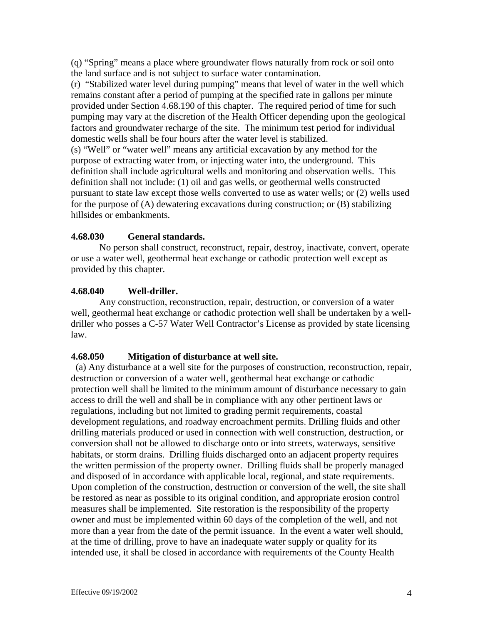(q) "Spring" means a place where groundwater flows naturally from rock or soil onto the land surface and is not subject to surface water contamination.

(r) "Stabilized water level during pumping" means that level of water in the well which remains constant after a period of pumping at the specified rate in gallons per minute provided under Section 4.68.190 of this chapter. The required period of time for such pumping may vary at the discretion of the Health Officer depending upon the geological factors and groundwater recharge of the site. The minimum test period for individual domestic wells shall be four hours after the water level is stabilized.

(s) "Well" or "water well" means any artificial excavation by any method for the purpose of extracting water from, or injecting water into, the underground. This definition shall include agricultural wells and monitoring and observation wells. This definition shall not include: (1) oil and gas wells, or geothermal wells constructed pursuant to state law except those wells converted to use as water wells; or (2) wells used for the purpose of (A) dewatering excavations during construction; or (B) stabilizing hillsides or embankments.

# **4.68.030 General standards.**

No person shall construct, reconstruct, repair, destroy, inactivate, convert, operate or use a water well, geothermal heat exchange or cathodic protection well except as provided by this chapter.

# **4.68.040 Well-driller.**

Any construction, reconstruction, repair, destruction, or conversion of a water well, geothermal heat exchange or cathodic protection well shall be undertaken by a welldriller who posses a C-57 Water Well Contractor's License as provided by state licensing law.

# **4.68.050 Mitigation of disturbance at well site.**

 (a) Any disturbance at a well site for the purposes of construction, reconstruction, repair, destruction or conversion of a water well, geothermal heat exchange or cathodic protection well shall be limited to the minimum amount of disturbance necessary to gain access to drill the well and shall be in compliance with any other pertinent laws or regulations, including but not limited to grading permit requirements, coastal development regulations, and roadway encroachment permits. Drilling fluids and other drilling materials produced or used in connection with well construction, destruction, or conversion shall not be allowed to discharge onto or into streets, waterways, sensitive habitats, or storm drains. Drilling fluids discharged onto an adjacent property requires the written permission of the property owner. Drilling fluids shall be properly managed and disposed of in accordance with applicable local, regional, and state requirements. Upon completion of the construction, destruction or conversion of the well, the site shall be restored as near as possible to its original condition, and appropriate erosion control measures shall be implemented. Site restoration is the responsibility of the property owner and must be implemented within 60 days of the completion of the well, and not more than a year from the date of the permit issuance. In the event a water well should, at the time of drilling, prove to have an inadequate water supply or quality for its intended use, it shall be closed in accordance with requirements of the County Health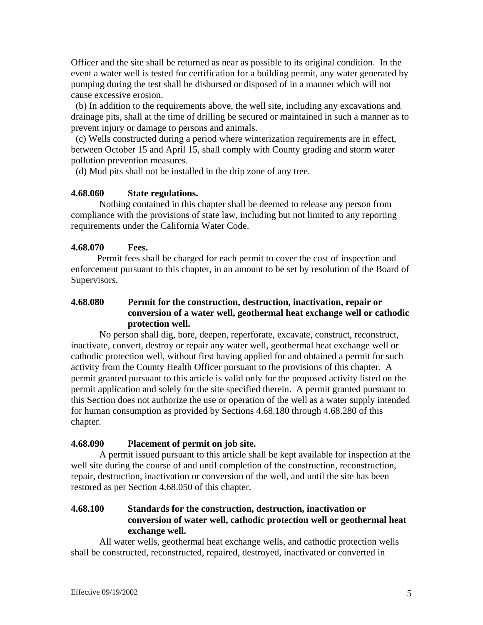Officer and the site shall be returned as near as possible to its original condition. In the event a water well is tested for certification for a building permit, any water generated by pumping during the test shall be disbursed or disposed of in a manner which will not cause excessive erosion.

 (b) In addition to the requirements above, the well site, including any excavations and drainage pits, shall at the time of drilling be secured or maintained in such a manner as to prevent injury or damage to persons and animals.

 (c) Wells constructed during a period where winterization requirements are in effect, between October 15 and April 15, shall comply with County grading and storm water pollution prevention measures.

(d) Mud pits shall not be installed in the drip zone of any tree.

#### **4.68.060 State regulations.**

Nothing contained in this chapter shall be deemed to release any person from compliance with the provisions of state law, including but not limited to any reporting requirements under the California Water Code.

#### **4.68.070 Fees.**

 Permit fees shall be charged for each permit to cover the cost of inspection and enforcement pursuant to this chapter, in an amount to be set by resolution of the Board of Supervisors.

### **4.68.080 Permit for the construction, destruction, inactivation, repair or conversion of a water well, geothermal heat exchange well or cathodic protection well.**

 No person shall dig, bore, deepen, reperforate, excavate, construct, reconstruct, inactivate, convert, destroy or repair any water well, geothermal heat exchange well or cathodic protection well, without first having applied for and obtained a permit for such activity from the County Health Officer pursuant to the provisions of this chapter. A permit granted pursuant to this article is valid only for the proposed activity listed on the permit application and solely for the site specified therein. A permit granted pursuant to this Section does not authorize the use or operation of the well as a water supply intended for human consumption as provided by Sections 4.68.180 through 4.68.280 of this chapter.

#### **4.68.090 Placement of permit on job site.**

A permit issued pursuant to this article shall be kept available for inspection at the well site during the course of and until completion of the construction, reconstruction, repair, destruction, inactivation or conversion of the well, and until the site has been restored as per Section 4.68.050 of this chapter.

# **4.68.100 Standards for the construction, destruction, inactivation or conversion of water well, cathodic protection well or geothermal heat exchange well.**

All water wells, geothermal heat exchange wells, and cathodic protection wells shall be constructed, reconstructed, repaired, destroyed, inactivated or converted in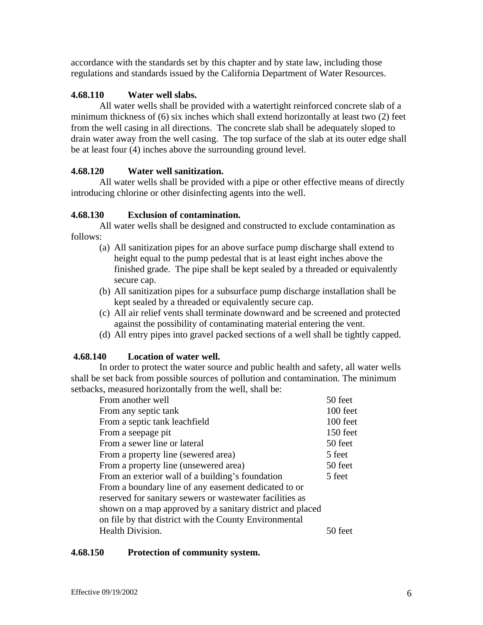accordance with the standards set by this chapter and by state law, including those regulations and standards issued by the California Department of Water Resources.

# **4.68.110 Water well slabs.**

All water wells shall be provided with a watertight reinforced concrete slab of a minimum thickness of (6) six inches which shall extend horizontally at least two (2) feet from the well casing in all directions. The concrete slab shall be adequately sloped to drain water away from the well casing. The top surface of the slab at its outer edge shall be at least four (4) inches above the surrounding ground level.

# **4.68.120 Water well sanitization.**

All water wells shall be provided with a pipe or other effective means of directly introducing chlorine or other disinfecting agents into the well.

# **4.68.130 Exclusion of contamination.**

All water wells shall be designed and constructed to exclude contamination as follows:

- (a) All sanitization pipes for an above surface pump discharge shall extend to height equal to the pump pedestal that is at least eight inches above the finished grade. The pipe shall be kept sealed by a threaded or equivalently secure cap.
- (b) All sanitization pipes for a subsurface pump discharge installation shall be kept sealed by a threaded or equivalently secure cap.
- (c) All air relief vents shall terminate downward and be screened and protected against the possibility of contaminating material entering the vent.
- (d) All entry pipes into gravel packed sections of a well shall be tightly capped.

### **4.68.140 Location of water well.**

In order to protect the water source and public health and safety, all water wells shall be set back from possible sources of pollution and contamination. The minimum setbacks, measured horizontally from the well, shall be:

| From another well                                         | 50 feet  |
|-----------------------------------------------------------|----------|
| From any septic tank                                      | 100 feet |
| From a septic tank leachfield                             | 100 feet |
| From a seepage pit                                        | 150 feet |
| From a sewer line or lateral                              | 50 feet  |
| From a property line (sewered area)                       | 5 feet   |
| From a property line (unsewered area)                     | 50 feet  |
| From an exterior wall of a building's foundation          | 5 feet   |
| From a boundary line of any easement dedicated to or      |          |
| reserved for sanitary sewers or wastewater facilities as  |          |
| shown on a map approved by a sanitary district and placed |          |
| on file by that district with the County Environmental    |          |
| Health Division.                                          | 50 teet  |
|                                                           |          |

### **4.68.150 Protection of community system.**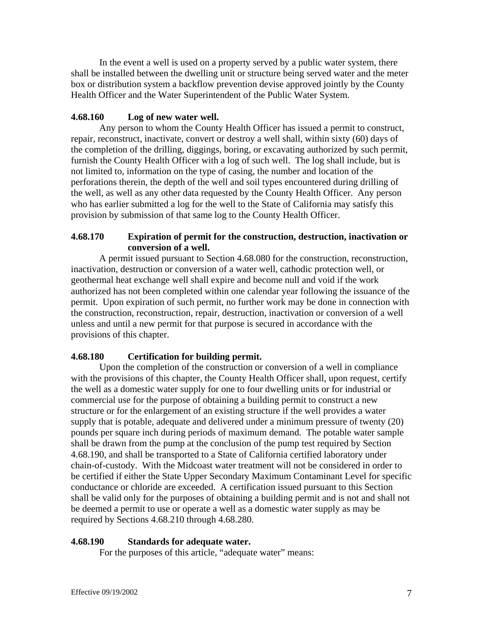In the event a well is used on a property served by a public water system, there shall be installed between the dwelling unit or structure being served water and the meter box or distribution system a backflow prevention devise approved jointly by the County Health Officer and the Water Superintendent of the Public Water System.

# **4.68.160 Log of new water well.**

 Any person to whom the County Health Officer has issued a permit to construct, repair, reconstruct, inactivate, convert or destroy a well shall, within sixty (60) days of the completion of the drilling, diggings, boring, or excavating authorized by such permit, furnish the County Health Officer with a log of such well. The log shall include, but is not limited to, information on the type of casing, the number and location of the perforations therein, the depth of the well and soil types encountered during drilling of the well, as well as any other data requested by the County Health Officer. Any person who has earlier submitted a log for the well to the State of California may satisfy this provision by submission of that same log to the County Health Officer.

# **4.68.170 Expiration of permit for the construction, destruction, inactivation or conversion of a well.**

 A permit issued pursuant to Section 4.68.080 for the construction, reconstruction, inactivation, destruction or conversion of a water well, cathodic protection well, or geothermal heat exchange well shall expire and become null and void if the work authorized has not been completed within one calendar year following the issuance of the permit. Upon expiration of such permit, no further work may be done in connection with the construction, reconstruction, repair, destruction, inactivation or conversion of a well unless and until a new permit for that purpose is secured in accordance with the provisions of this chapter.

# **4.68.180 Certification for building permit.**

Upon the completion of the construction or conversion of a well in compliance with the provisions of this chapter, the County Health Officer shall, upon request, certify the well as a domestic water supply for one to four dwelling units or for industrial or commercial use for the purpose of obtaining a building permit to construct a new structure or for the enlargement of an existing structure if the well provides a water supply that is potable, adequate and delivered under a minimum pressure of twenty (20) pounds per square inch during periods of maximum demand. The potable water sample shall be drawn from the pump at the conclusion of the pump test required by Section 4.68.190, and shall be transported to a State of California certified laboratory under chain-of-custody. With the Midcoast water treatment will not be considered in order to be certified if either the State Upper Secondary Maximum Contaminant Level for specific conductance or chloride are exceeded. A certification issued pursuant to this Section shall be valid only for the purposes of obtaining a building permit and is not and shall not be deemed a permit to use or operate a well as a domestic water supply as may be required by Sections 4.68.210 through 4.68.280.

### **4.68.190 Standards for adequate water.**

For the purposes of this article, "adequate water" means: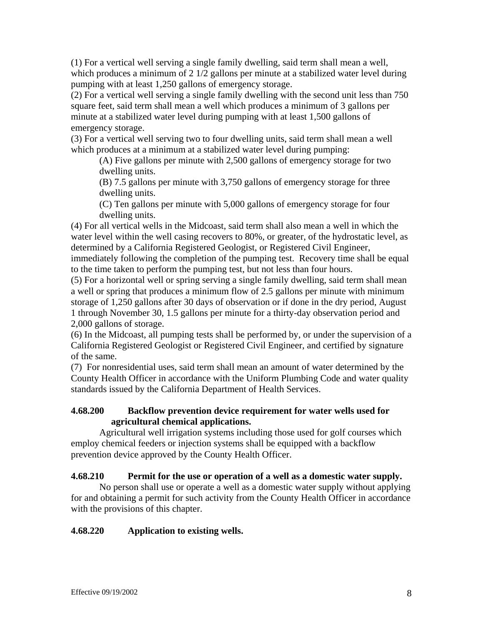(1) For a vertical well serving a single family dwelling, said term shall mean a well, which produces a minimum of 2 1/2 gallons per minute at a stabilized water level during pumping with at least 1,250 gallons of emergency storage.

(2) For a vertical well serving a single family dwelling with the second unit less than 750 square feet, said term shall mean a well which produces a minimum of 3 gallons per minute at a stabilized water level during pumping with at least 1,500 gallons of emergency storage.

(3) For a vertical well serving two to four dwelling units, said term shall mean a well which produces at a minimum at a stabilized water level during pumping:

(A) Five gallons per minute with 2,500 gallons of emergency storage for two dwelling units.

(B) 7.5 gallons per minute with 3,750 gallons of emergency storage for three dwelling units.

(C) Ten gallons per minute with 5,000 gallons of emergency storage for four dwelling units.

(4) For all vertical wells in the Midcoast, said term shall also mean a well in which the water level within the well casing recovers to 80%, or greater, of the hydrostatic level, as determined by a California Registered Geologist, or Registered Civil Engineer,

immediately following the completion of the pumping test. Recovery time shall be equal to the time taken to perform the pumping test, but not less than four hours.

(5) For a horizontal well or spring serving a single family dwelling, said term shall mean a well or spring that produces a minimum flow of 2.5 gallons per minute with minimum storage of 1,250 gallons after 30 days of observation or if done in the dry period, August 1 through November 30, 1.5 gallons per minute for a thirty-day observation period and 2,000 gallons of storage.

(6) In the Midcoast, all pumping tests shall be performed by, or under the supervision of a California Registered Geologist or Registered Civil Engineer, and certified by signature of the same.

(7) For nonresidential uses, said term shall mean an amount of water determined by the County Health Officer in accordance with the Uniform Plumbing Code and water quality standards issued by the California Department of Health Services.

# **4.68.200 Backflow prevention device requirement for water wells used for agricultural chemical applications.**

Agricultural well irrigation systems including those used for golf courses which employ chemical feeders or injection systems shall be equipped with a backflow prevention device approved by the County Health Officer.

# **4.68.210 Permit for the use or operation of a well as a domestic water supply.**

No person shall use or operate a well as a domestic water supply without applying for and obtaining a permit for such activity from the County Health Officer in accordance with the provisions of this chapter.

# **4.68.220 Application to existing wells.**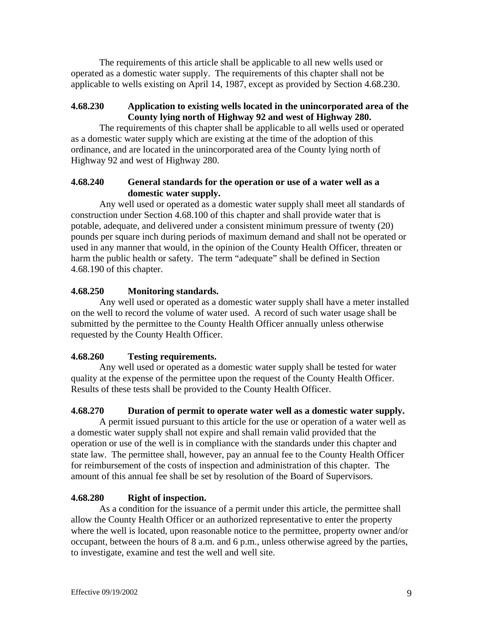The requirements of this article shall be applicable to all new wells used or operated as a domestic water supply. The requirements of this chapter shall not be applicable to wells existing on April 14, 1987, except as provided by Section 4.68.230.

# **4.68.230 Application to existing wells located in the unincorporated area of the County lying north of Highway 92 and west of Highway 280.**

The requirements of this chapter shall be applicable to all wells used or operated as a domestic water supply which are existing at the time of the adoption of this ordinance, and are located in the unincorporated area of the County lying north of Highway 92 and west of Highway 280.

# **4.68.240 General standards for the operation or use of a water well as a domestic water supply.**

Any well used or operated as a domestic water supply shall meet all standards of construction under Section 4.68.100 of this chapter and shall provide water that is potable, adequate, and delivered under a consistent minimum pressure of twenty (20) pounds per square inch during periods of maximum demand and shall not be operated or used in any manner that would, in the opinion of the County Health Officer, threaten or harm the public health or safety. The term "adequate" shall be defined in Section 4.68.190 of this chapter.

# **4.68.250 Monitoring standards.**

Any well used or operated as a domestic water supply shall have a meter installed on the well to record the volume of water used. A record of such water usage shall be submitted by the permittee to the County Health Officer annually unless otherwise requested by the County Health Officer.

# **4.68.260 Testing requirements.**

Any well used or operated as a domestic water supply shall be tested for water quality at the expense of the permittee upon the request of the County Health Officer. Results of these tests shall be provided to the County Health Officer.

# **4.68.270 Duration of permit to operate water well as a domestic water supply.**

A permit issued pursuant to this article for the use or operation of a water well as a domestic water supply shall not expire and shall remain valid provided that the operation or use of the well is in compliance with the standards under this chapter and state law. The permittee shall, however, pay an annual fee to the County Health Officer for reimbursement of the costs of inspection and administration of this chapter. The amount of this annual fee shall be set by resolution of the Board of Supervisors.

# **4.68.280 Right of inspection.**

As a condition for the issuance of a permit under this article, the permittee shall allow the County Health Officer or an authorized representative to enter the property where the well is located, upon reasonable notice to the permittee, property owner and/or occupant, between the hours of 8 a.m. and 6 p.m., unless otherwise agreed by the parties, to investigate, examine and test the well and well site.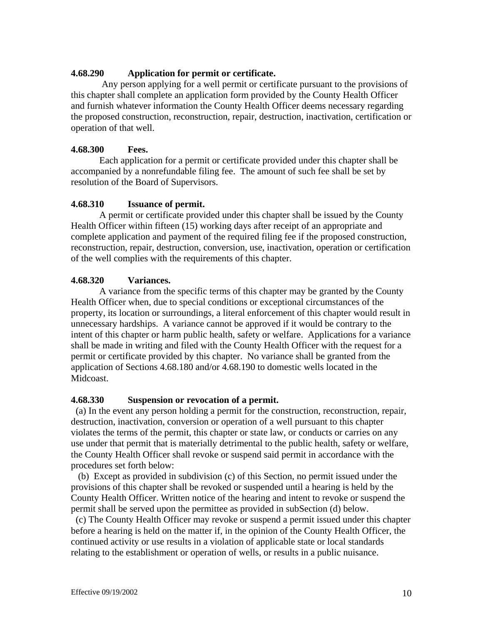### **4.68.290 Application for permit or certificate.**

 Any person applying for a well permit or certificate pursuant to the provisions of this chapter shall complete an application form provided by the County Health Officer and furnish whatever information the County Health Officer deems necessary regarding the proposed construction, reconstruction, repair, destruction, inactivation, certification or operation of that well.

# **4.68.300 Fees.**

Each application for a permit or certificate provided under this chapter shall be accompanied by a nonrefundable filing fee. The amount of such fee shall be set by resolution of the Board of Supervisors.

### **4.68.310 Issuance of permit.**

A permit or certificate provided under this chapter shall be issued by the County Health Officer within fifteen (15) working days after receipt of an appropriate and complete application and payment of the required filing fee if the proposed construction, reconstruction, repair, destruction, conversion, use, inactivation, operation or certification of the well complies with the requirements of this chapter.

# **4.68.320 Variances.**

A variance from the specific terms of this chapter may be granted by the County Health Officer when, due to special conditions or exceptional circumstances of the property, its location or surroundings, a literal enforcement of this chapter would result in unnecessary hardships. A variance cannot be approved if it would be contrary to the intent of this chapter or harm public health, safety or welfare. Applications for a variance shall be made in writing and filed with the County Health Officer with the request for a permit or certificate provided by this chapter. No variance shall be granted from the application of Sections 4.68.180 and/or 4.68.190 to domestic wells located in the Midcoast.

### **4.68.330 Suspension or revocation of a permit.**

 (a) In the event any person holding a permit for the construction, reconstruction, repair, destruction, inactivation, conversion or operation of a well pursuant to this chapter violates the terms of the permit, this chapter or state law, or conducts or carries on any use under that permit that is materially detrimental to the public health, safety or welfare, the County Health Officer shall revoke or suspend said permit in accordance with the procedures set forth below:

 (b) Except as provided in subdivision (c) of this Section, no permit issued under the provisions of this chapter shall be revoked or suspended until a hearing is held by the County Health Officer. Written notice of the hearing and intent to revoke or suspend the permit shall be served upon the permittee as provided in subSection (d) below.

 (c) The County Health Officer may revoke or suspend a permit issued under this chapter before a hearing is held on the matter if, in the opinion of the County Health Officer, the continued activity or use results in a violation of applicable state or local standards relating to the establishment or operation of wells, or results in a public nuisance.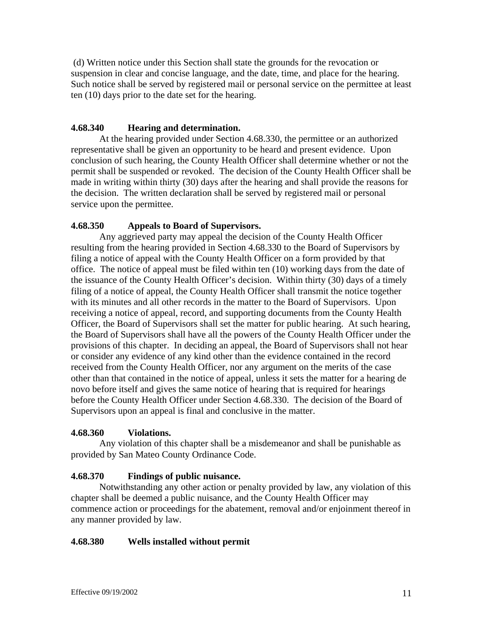(d) Written notice under this Section shall state the grounds for the revocation or suspension in clear and concise language, and the date, time, and place for the hearing. Such notice shall be served by registered mail or personal service on the permittee at least ten (10) days prior to the date set for the hearing.

# **4.68.340 Hearing and determination.**

At the hearing provided under Section 4.68.330, the permittee or an authorized representative shall be given an opportunity to be heard and present evidence. Upon conclusion of such hearing, the County Health Officer shall determine whether or not the permit shall be suspended or revoked. The decision of the County Health Officer shall be made in writing within thirty (30) days after the hearing and shall provide the reasons for the decision. The written declaration shall be served by registered mail or personal service upon the permittee.

# **4.68.350 Appeals to Board of Supervisors.**

Any aggrieved party may appeal the decision of the County Health Officer resulting from the hearing provided in Section 4.68.330 to the Board of Supervisors by filing a notice of appeal with the County Health Officer on a form provided by that office. The notice of appeal must be filed within ten (10) working days from the date of the issuance of the County Health Officer's decision. Within thirty (30) days of a timely filing of a notice of appeal, the County Health Officer shall transmit the notice together with its minutes and all other records in the matter to the Board of Supervisors. Upon receiving a notice of appeal, record, and supporting documents from the County Health Officer, the Board of Supervisors shall set the matter for public hearing. At such hearing, the Board of Supervisors shall have all the powers of the County Health Officer under the provisions of this chapter. In deciding an appeal, the Board of Supervisors shall not hear or consider any evidence of any kind other than the evidence contained in the record received from the County Health Officer, nor any argument on the merits of the case other than that contained in the notice of appeal, unless it sets the matter for a hearing de novo before itself and gives the same notice of hearing that is required for hearings before the County Health Officer under Section 4.68.330. The decision of the Board of Supervisors upon an appeal is final and conclusive in the matter.

### **4.68.360 Violations.**

Any violation of this chapter shall be a misdemeanor and shall be punishable as provided by San Mateo County Ordinance Code.

# **4.68.370 Findings of public nuisance.**

Notwithstanding any other action or penalty provided by law, any violation of this chapter shall be deemed a public nuisance, and the County Health Officer may commence action or proceedings for the abatement, removal and/or enjoinment thereof in any manner provided by law.

### **4.68.380 Wells installed without permit**